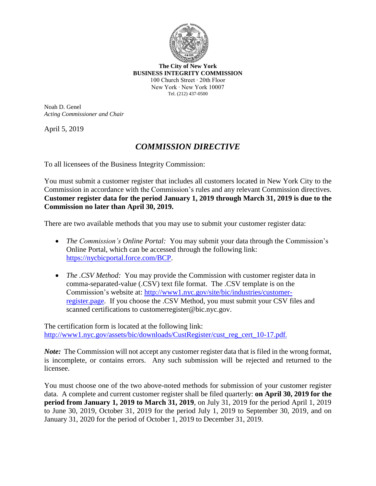

**The City of New York BUSINESS INTEGRITY COMMISSION** 100 Church Street ∙ 20th Floor New York ∙ New York 10007 Tel. (212) 437-0500

Noah D. Genel *Acting Commissioner and Chair*

April 5, 2019

## *COMMISSION DIRECTIVE*

To all licensees of the Business Integrity Commission:

You must submit a customer register that includes all customers located in New York City to the Commission in accordance with the Commission's rules and any relevant Commission directives. **Customer register data for the period January 1, 2019 through March 31, 2019 is due to the Commission no later than April 30, 2019.**

There are two available methods that you may use to submit your customer register data:

- *The Commission's Online Portal:* You may submit your data through the Commission's Online Portal, which can be accessed through the following link: [https://nycbicportal.force.com/BCP.](https://nycbicportal.force.com/BCP)
- *The .CSV Method:* You may provide the Commission with customer register data in comma-separated-value (.CSV) text file format. The .CSV template is on the Commission's website at: http://www1.nyc.gov/site/bic/industries/customerregister.page. If you choose the .CSV Method, you must submit your CSV files and scanned certifications to customerregister@bic.nyc.gov.

The certification form is located at the following link: http://www1.nyc.gov/assets/bic/downloads/CustRegister/cust\_reg\_cert\_10-17.pdf.

*Note*: The Commission will not accept any customer register data that is filed in the wrong format, is incomplete, or contains errors. Any such submission will be rejected and returned to the licensee.

You must choose one of the two above-noted methods for submission of your customer register data. A complete and current customer register shall be filed quarterly: **on April 30, 2019 for the period from January 1, 2019 to March 31, 2019**, on July 31, 2019 for the period April 1, 2019 to June 30, 2019, October 31, 2019 for the period July 1, 2019 to September 30, 2019, and on January 31, 2020 for the period of October 1, 2019 to December 31, 2019.